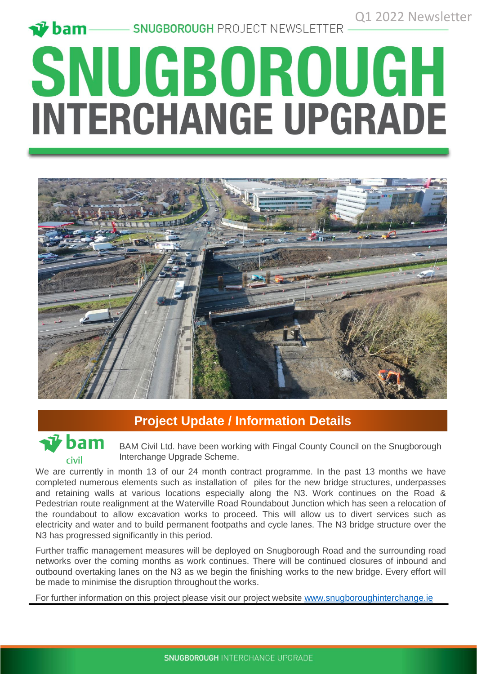# **SNUGBOROUGH<br>INTERCHANGE UPGRADE**



## **Project Update / Information Details**



BAM Civil Ltd. have been working with Fingal County Council on the Snugborough Interchange Upgrade Scheme.

We are currently in month 13 of our 24 month contract programme. In the past 13 months we have completed numerous elements such as installation of piles for the new bridge structures, underpasses and retaining walls at various locations especially along the N3. Work continues on the Road & Pedestrian route realignment at the Waterville Road Roundabout Junction which has seen a relocation of the roundabout to allow excavation works to proceed. This will allow us to divert services such as electricity and water and to build permanent footpaths and cycle lanes. The N3 bridge structure over the N3 has progressed significantly in this period.

Further traffic management measures will be deployed on Snugborough Road and the surrounding road networks over the coming months as work continues. There will be continued closures of inbound and outbound overtaking lanes on the N3 as we begin the finishing works to the new bridge. Every effort will be made to minimise the disruption throughout the works.

For further information on this project please visit our project website [www.snugboroughinterchange.ie](http://www.snugboroughinterchange.ie/)